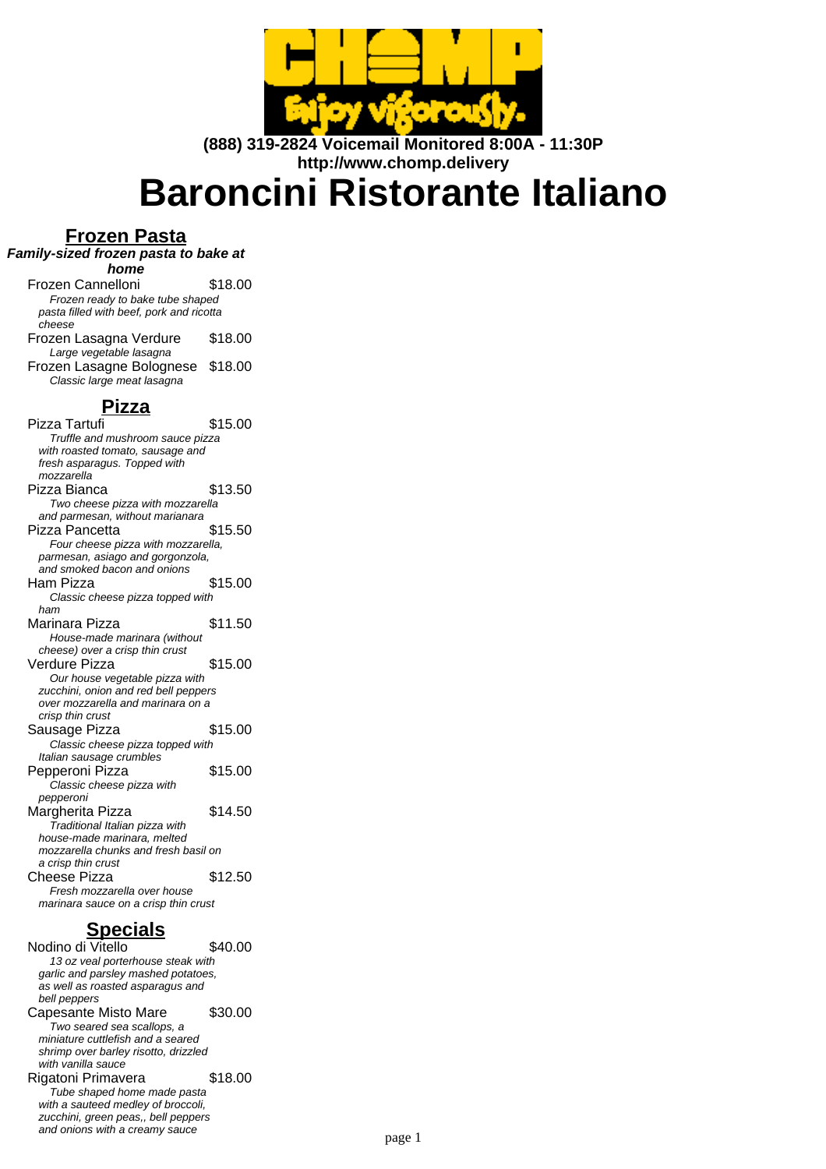

**(888) 319-2824 Voicemail Monitored 8:00A - 11:30P http://www.chomp.delivery**

# **Baroncini Ristorante Italiano**

#### **Frozen Pasta**

**Family-sized frozen pasta to bake at**

**home**

Frozen Cannelloni \$18.00 Frozen ready to bake tube shaped pasta filled with beef, pork and ricotta cheese Frozen Lasagna Verdure \$18.00 Large vegetable lasagna Frozen Lasagne Bolognese \$18.00 Classic large meat lasagna

#### **Pizza**

Pizza Tartufi  $$15.00$ Truffle and mushroom sauce pizza with roasted tomato, sausage and fresh asparagus. Topped with mozzarella Pizza Bianca \$13.50 Two cheese pizza with mozzarella and parmesan, without marianara Pizza Pancetta \$15.50 Four cheese pizza with mozzarella, parmesan, asiago and gorgonzola, and smoked bacon and onions Ham Pizza \$15.00 Classic cheese pizza topped with ham Marinara Pizza \$11.50 House-made marinara (without cheese) over a crisp thin crust Verdure Pizza \$15.00 Our house vegetable pizza with zucchini, onion and red bell peppers over mozzarella and marinara on a crisp thin crust Sausage Pizza  $$15.00$ Classic cheese pizza topped with Italian sausage crumbles Pepperoni Pizza \$15.00 Classic cheese pizza with pepperoni Margherita Pizza \$14.50 Traditional Italian pizza with house-made marinara, melted mozzarella chunks and fresh basil on a crisp thin crust Cheese Pizza \$12.50 Fresh mozzarella over house marinara sauce on a crisp thin crust

# **Specials**

Nodino di Vitello \$40.00 13 oz veal porterhouse steak with garlic and parsley mashed potatoes, as well as roasted asparagus and bell peppers Capesante Misto Mare \$30.00 Two seared sea scallops, a miniature cuttlefish and a seared shrimp over barley risotto, drizzled with vanilla sauce Rigatoni Primavera \$18.00 Tube shaped home made pasta with a sauteed medley of broccoli, zucchini, green peas,, bell peppers and onions with a creamy sauce page 1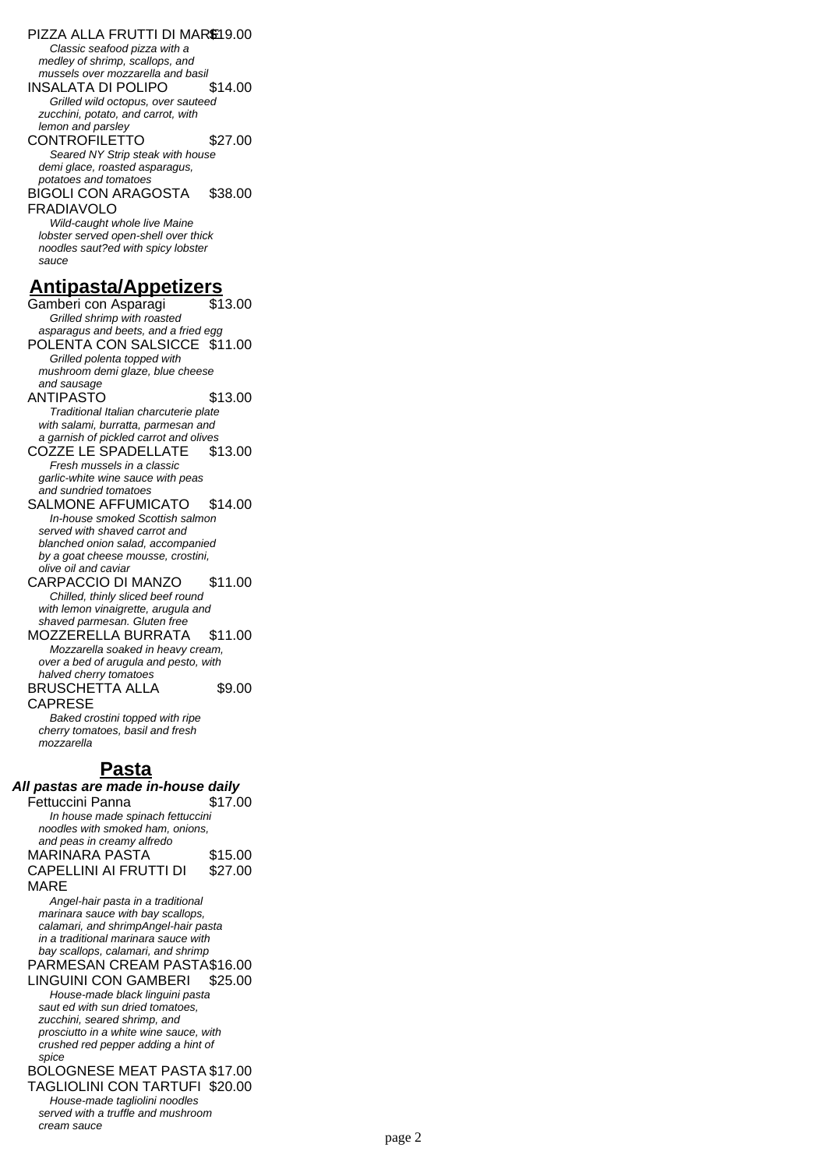PIZZA ALLA FRUTTI DI MARE19.00 Classic seafood pizza with a medley of shrimp, scallops, and mussels over mozzarella and basil INSALATA DI POLIPO \$14.00 Grilled wild octopus, over sauteed zucchini, potato, and carrot, with lemon and parsley CONTROFILETTO \$27.00 Seared NY Strip steak with house demi glace, roasted asparagus, potatoes and tomatoes BIGOLI CON ARAGOSTA FRADIAVOLO \$38.00 Wild-caught whole live Maine lobster served open-shell over thick noodles saut?ed with spicy lobster sauce **Antipasta/Appetizers** Gamberi con Asparagi Grilled shrimp with roasted

asparagus and beets, and a fried egg POLENTA CON SALSICCE \$11.00 Grilled polenta topped with mushroom demi glaze, blue cheese and sausage ANTIPASTO \$13.00 Traditional Italian charcuterie plate with salami, burratta, parmesan and a garnish of pickled carrot and olives COZZE LE SPADELLATE \$13.00 Fresh mussels in a classic garlic-white wine sauce with peas and sundried tomatoes SALMONE AFFUMICATO \$14.00 In-house smoked Scottish salmon served with shaved carrot and blanched onion salad, accompanied by a goat cheese mousse, crostini, olive oil and caviar CARPACCIO DI MANZO \$11.00 Chilled, thinly sliced beef round with lemon vinaigrette, arugula and shaved parmesan. Gluten free MOZZERELLA BURRATA \$11.00 Mozzarella soaked in heavy cream, over a bed of arugula and pesto, with halved cherry tomatoes BRUSCHETTA ALLA CAPRESE \$9.00 Baked crostini topped with ripe

cherry tomatoes, basil and fresh mozzarella

### **Pasta**

**All pastas are made in-house daily**

| Fettuccini Panna                 | \$17.00 |
|----------------------------------|---------|
| In house made spinach fettuccini |         |
| noodles with smoked ham, onions, |         |
| and peas in creamy alfredo       |         |
| <b>MARINARA PASTA</b>            | \$15.00 |
| CAPELLINI AI FRUTTI DI           | \$27.00 |
| MARF                             |         |

Angel-hair pasta in a traditional marinara sauce with bay scallops, calamari, and shrimpAngel-hair pasta in a traditional marinara sauce with bay scallops, calamari, and shrimp

PARMESAN CREAM PASTA\$16.00 LINGUINI CON GAMBERI \$25.00

House-made black linguini pasta saut ed with sun dried tomatoes, zucchini, seared shrimp, and prosciutto in a white wine sauce, with crushed red pepper adding a hint of spice

BOLOGNESE MEAT PASTA \$17.00 TAGLIOLINI CON TARTUFI \$20.00

House-made tagliolini noodles served with a truffle and mushroom cream sauce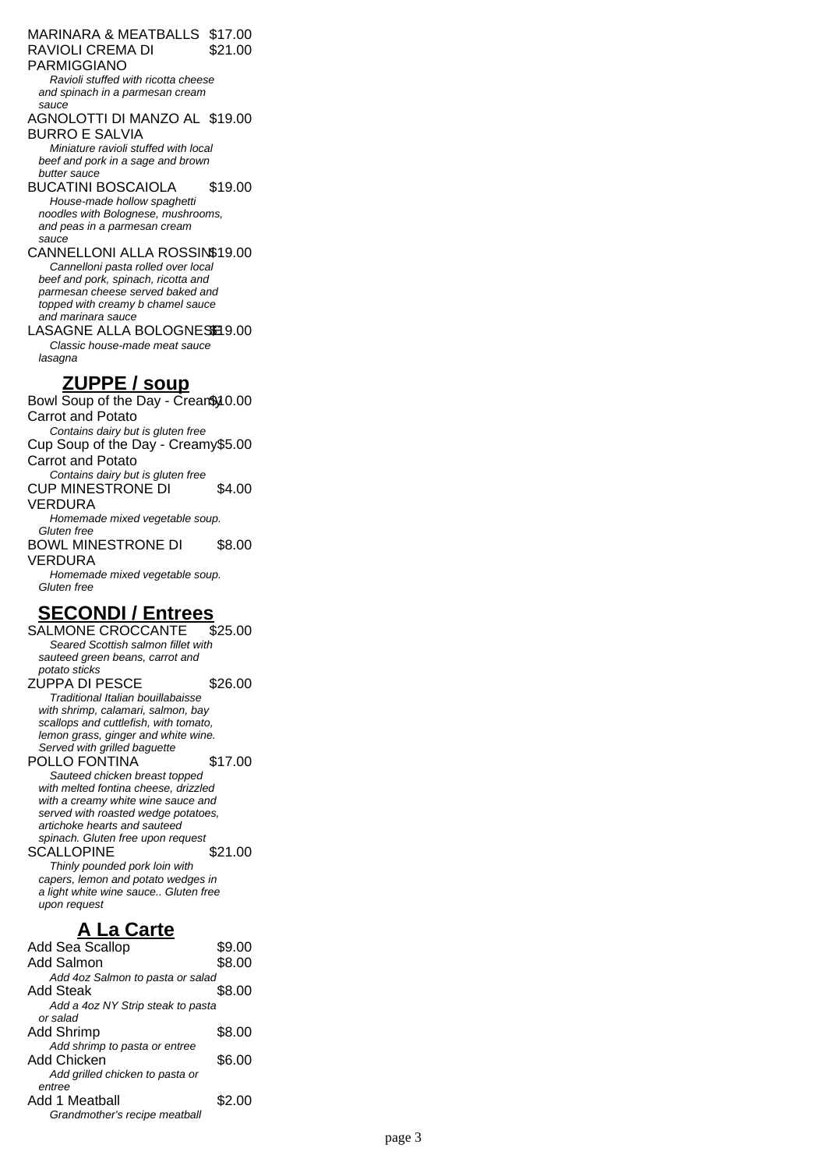#### MARINARA & MEATBALLS \$17.00 RAVIOLI CREMA DI PARMIGGIANO \$21.00

Ravioli stuffed with ricotta cheese and spinach in a parmesan cream sauce

## AGNOLOTTI DI MANZO AL \$19.00

BURRO E SALVIA Miniature ravioli stuffed with local beef and pork in a sage and brown butter sauce

BUCATINI BOSCAIOLA \$19.00 House-made hollow spaghetti noodles with Bolognese, mushrooms, and peas in a parmesan cream sauce

#### CANNELLONI ALLA ROSSIN\$19.00 Cannelloni pasta rolled over local beef and pork, spinach, ricotta and parmesan cheese served baked and topped with creamy b chamel sauce and marinara sauce

LASAGNE ALLA BOLOGNESE 9.00 Classic house-made meat sauce lasagna

## **ZUPPE / soup**

Bowl Soup of the Day - Crean\$ 10.00 Carrot and Potato Contains dairy but is gluten free Cup Soup of the Day - Creamy \$5.00 Carrot and Potato Contains dairy but is gluten free CUP MINESTRONE DI VERDURA \$4.00 Homemade mixed vegetable soup. Gluten free BOWL MINESTRONE DI VERDURA \$8.00 Homemade mixed vegetable soup. Gluten free

# **SECONDI / Entrees**

SALMONE CROCCANTE \$25.00 Seared Scottish salmon fillet with sauteed green beans, carrot and potato sticks ZUPPA DI PESCE \$26.00 Traditional Italian bouillabaisse with shrimp, calamari, salmon, bay scallops and cuttlefish, with tomato, lemon grass, ginger and white wine. Served with grilled baguette POLLO FONTINA \$17.00 Sauteed chicken breast topped with melted fontina cheese, drizzled with a creamy white wine sauce and served with roasted wedge potatoes, artichoke hearts and sauteed spinach. Gluten free upon request

SCALLOPINE \$21.00 Thinly pounded pork loin with capers, lemon and potato wedges in a light white wine sauce.. Gluten free upon request

### **A La Carte**

| <b>Add Sea Scallop</b>            | \$9.00 |
|-----------------------------------|--------|
| Add Salmon                        | \$8.00 |
| Add 4oz Salmon to pasta or salad  |        |
| Add Steak                         | \$8.00 |
| Add a 4oz NY Strip steak to pasta |        |
| or salad                          |        |
| Add Shrimp                        | \$8.00 |
| Add shrimp to pasta or entree     |        |
| Add Chicken                       | \$6.00 |
| Add grilled chicken to pasta or   |        |
| entree                            |        |
| Add 1 Meatball                    | \$2.00 |
| Grandmother's recipe meatball     |        |